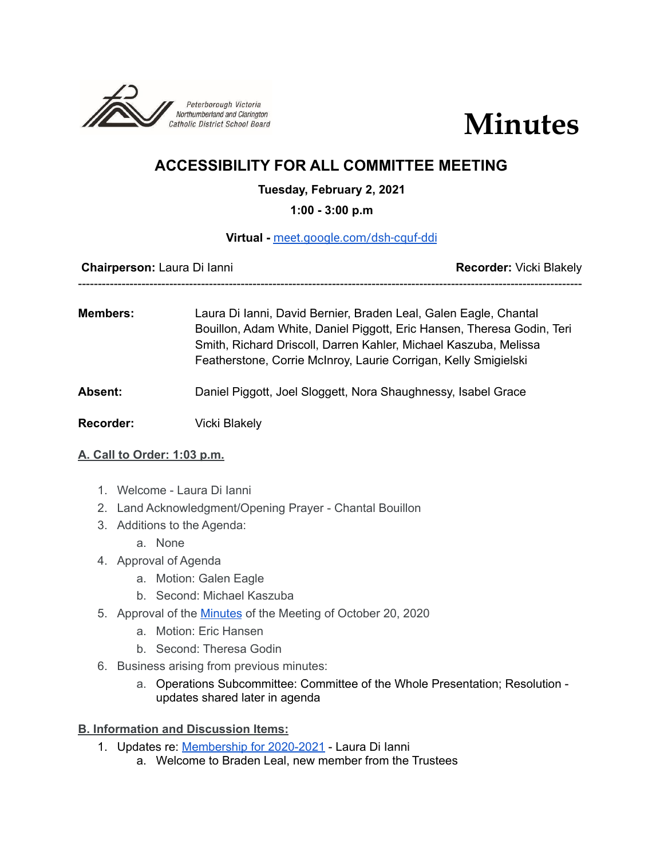



# **ACCESSIBILITY FOR ALL COMMITTEE MEETING**

## **Tuesday, February 2, 2021**

#### **1:00 - 3:00 p.m**

#### **Virtual -** [meet.google.com/dsh-cquf-ddi](http://meet.google.com/dsh-cquf-ddi)

**Chairperson:** Laura Di Ianni **Recorder:** Vicki Blakely

-------------------------------------------------------------------------------------------------------------------------------

**Members:** Laura Di Ianni, David Bernier, Braden Leal, Galen Eagle, Chantal Bouillon, Adam White, Daniel Piggott, Eric Hansen, Theresa Godin, Teri Smith, Richard Driscoll, Darren Kahler, Michael Kaszuba, Melissa Featherstone, Corrie McInroy, Laurie Corrigan, Kelly Smigielski

## **Absent:** Daniel Piggott, Joel Sloggett, Nora Shaughnessy, Isabel Grace

**Recorder:** Vicki Blakely

#### **A. Call to Order: 1:03 p.m.**

- 1. Welcome Laura Di Ianni
- 2. Land Acknowledgment/Opening Prayer Chantal Bouillon
- 3. Additions to the Agenda:
	- a. None
- 4. Approval of Agenda
	- a. Motion: Galen Eagle
	- b. Second: Michael Kaszuba
- 5. Approval of the [Minutes](https://docs.google.com/document/d/1OjcToo23KiokLipehonV19V8Iauh7KiaV9Y1EwAmw94/edit) of the Meeting of October 20, 2020
	- a. Motion: Eric Hansen
	- b. Second: Theresa Godin
- 6. Business arising from previous minutes:
	- a. Operations Subcommittee: Committee of the Whole Presentation; Resolution updates shared later in agenda

## **B. Information and Discussion Items:**

- 1. Updates re: [Membership](https://docs.google.com/document/d/1qyCf43hqxekzhU6C9aRKoaSor-FDeQX7zm42zxChJAU/edit#) for 2020-2021 Laura Di Ianni
	- a. Welcome to Braden Leal, new member from the Trustees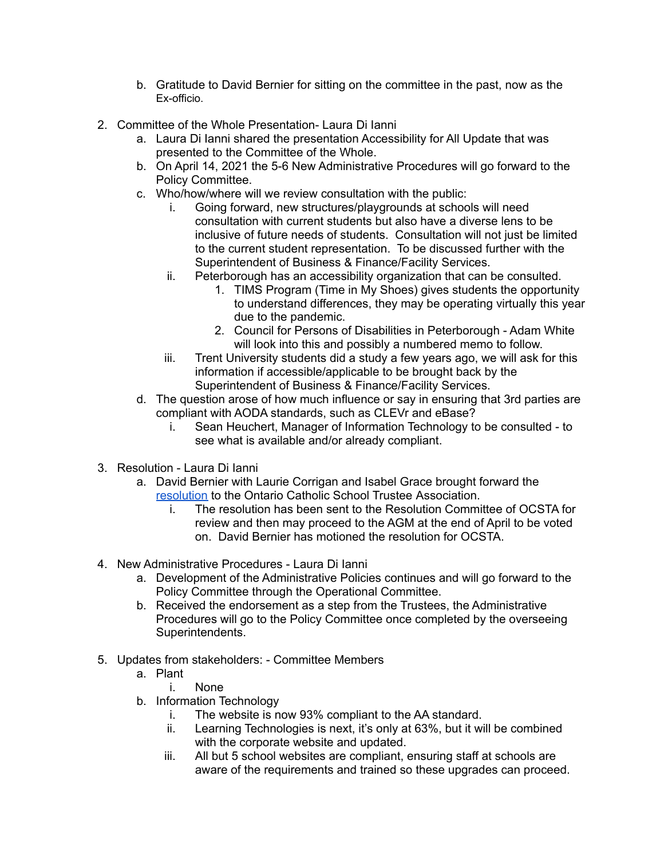- b. Gratitude to David Bernier for sitting on the committee in the past, now as the Ex-officio.
- 2. Committee of the Whole Presentation- Laura Di Ianni
	- a. Laura Di Ianni shared the presentation Accessibility for All Update that was presented to the Committee of the Whole.
	- b. On April 14, 2021 the 5-6 New Administrative Procedures will go forward to the Policy Committee.
	- c. Who/how/where will we review consultation with the public:
		- i. Going forward, new structures/playgrounds at schools will need consultation with current students but also have a diverse lens to be inclusive of future needs of students. Consultation will not just be limited to the current student representation. To be discussed further with the Superintendent of Business & Finance/Facility Services.
		- ii. Peterborough has an accessibility organization that can be consulted.
			- 1. TIMS Program (Time in My Shoes) gives students the opportunity to understand differences, they may be operating virtually this year due to the pandemic.
			- 2. Council for Persons of Disabilities in Peterborough Adam White will look into this and possibly a numbered memo to follow.
		- iii. Trent University students did a study a few years ago, we will ask for this information if accessible/applicable to be brought back by the Superintendent of Business & Finance/Facility Services.
	- d. The question arose of how much influence or say in ensuring that 3rd parties are compliant with AODA standards, such as CLEVr and eBase?
		- i. Sean Heuchert, Manager of Information Technology to be consulted to see what is available and/or already compliant.
- 3. Resolution Laura Di Ianni
	- a. David Bernier with Laurie Corrigan and Isabel Grace brought forward the [resolution](https://drive.google.com/file/d/1O6KqhWKmtf_HnLV2CG1aAY2b_wzpSdys/view?usp=sharing) to the Ontario Catholic School Trustee Association.
		- i. The resolution has been sent to the Resolution Committee of OCSTA for review and then may proceed to the AGM at the end of April to be voted on. David Bernier has motioned the resolution for OCSTA.
- 4. New Administrative Procedures Laura Di Ianni
	- a. Development of the Administrative Policies continues and will go forward to the Policy Committee through the Operational Committee.
	- b. Received the endorsement as a step from the Trustees, the Administrative Procedures will go to the Policy Committee once completed by the overseeing Superintendents.
- 5. Updates from stakeholders: Committee Members
	- a. Plant
		- i. None
	- b. Information Technology
		- i. The website is now 93% compliant to the AA standard.
		- ii. Learning Technologies is next, it's only at 63%, but it will be combined with the corporate website and updated.
		- iii. All but 5 school websites are compliant, ensuring staff at schools are aware of the requirements and trained so these upgrades can proceed.